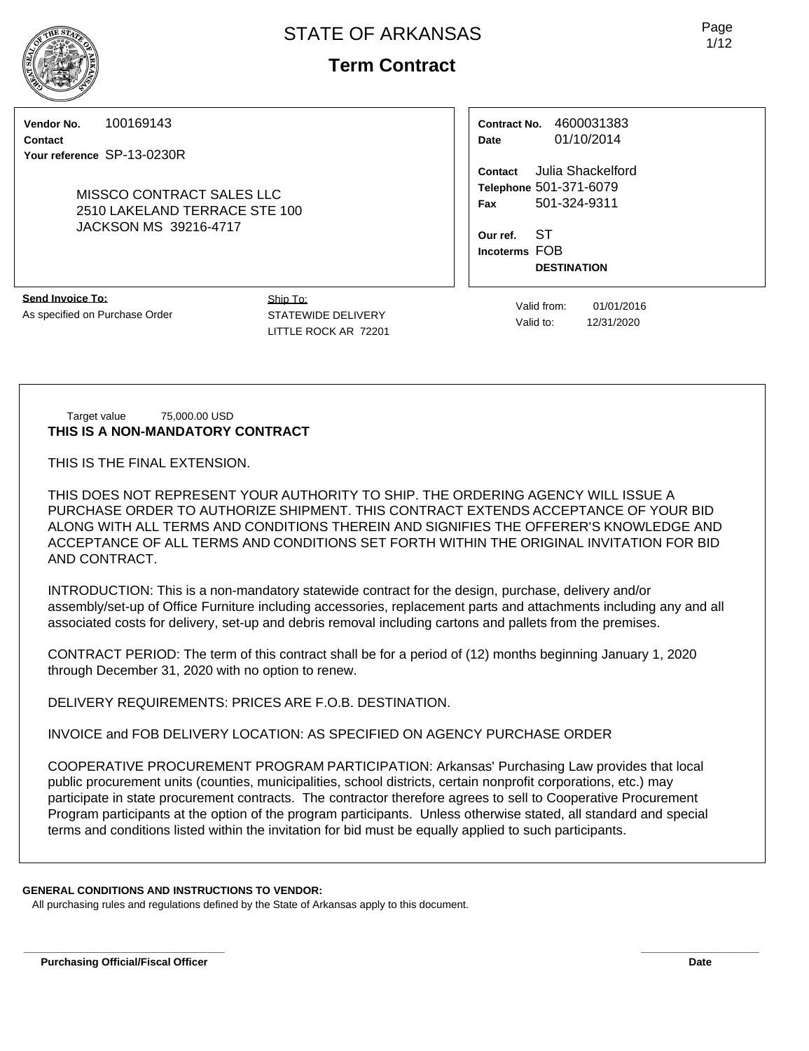# **Term Contract**

**Vendor No.** 100169143

**Contact Your reference** SP-13-0230R

#### MISSCO CONTRACT SALES LLC 2510 LAKELAND TERRACE STE 100 JACKSON MS 39216-4717

**Contract No.** 4600031383 **Date** 01/10/2014

**Contact** Julia Shackelford **Telephone** 501-371-6079 **Fax** 501-324-9311

**Our ref.** ST **Incoterms** FOB **DESTINATION**

**Send Invoice To:** As specified on Purchase Order Ship To: STATEWIDE DELIVERY LITTLE ROCK AR 72201

Valid from: 01/01/2016 Valid to: 12/31/2020

Target value 75,000.00 USD **THIS IS A NON-MANDATORY CONTRACT**

THIS IS THE FINAL EXTENSION.

THIS DOES NOT REPRESENT YOUR AUTHORITY TO SHIP. THE ORDERING AGENCY WILL ISSUE A PURCHASE ORDER TO AUTHORIZE SHIPMENT. THIS CONTRACT EXTENDS ACCEPTANCE OF YOUR BID ALONG WITH ALL TERMS AND CONDITIONS THEREIN AND SIGNIFIES THE OFFERER'S KNOWLEDGE AND ACCEPTANCE OF ALL TERMS AND CONDITIONS SET FORTH WITHIN THE ORIGINAL INVITATION FOR BID AND CONTRACT.

INTRODUCTION: This is a non-mandatory statewide contract for the design, purchase, delivery and/or assembly/set-up of Office Furniture including accessories, replacement parts and attachments including any and all associated costs for delivery, set-up and debris removal including cartons and pallets from the premises.

CONTRACT PERIOD: The term of this contract shall be for a period of (12) months beginning January 1, 2020 through December 31, 2020 with no option to renew.

DELIVERY REQUIREMENTS: PRICES ARE F.O.B. DESTINATION.

INVOICE and FOB DELIVERY LOCATION: AS SPECIFIED ON AGENCY PURCHASE ORDER

COOPERATIVE PROCUREMENT PROGRAM PARTICIPATION: Arkansas' Purchasing Law provides that local public procurement units (counties, municipalities, school districts, certain nonprofit corporations, etc.) may participate in state procurement contracts. The contractor therefore agrees to sell to Cooperative Procurement Program participants at the option of the program participants. Unless otherwise stated, all standard and special terms and conditions listed within the invitation for bid must be equally applied to such participants.

## **GENERAL CONDITIONS AND INSTRUCTIONS TO VENDOR:**

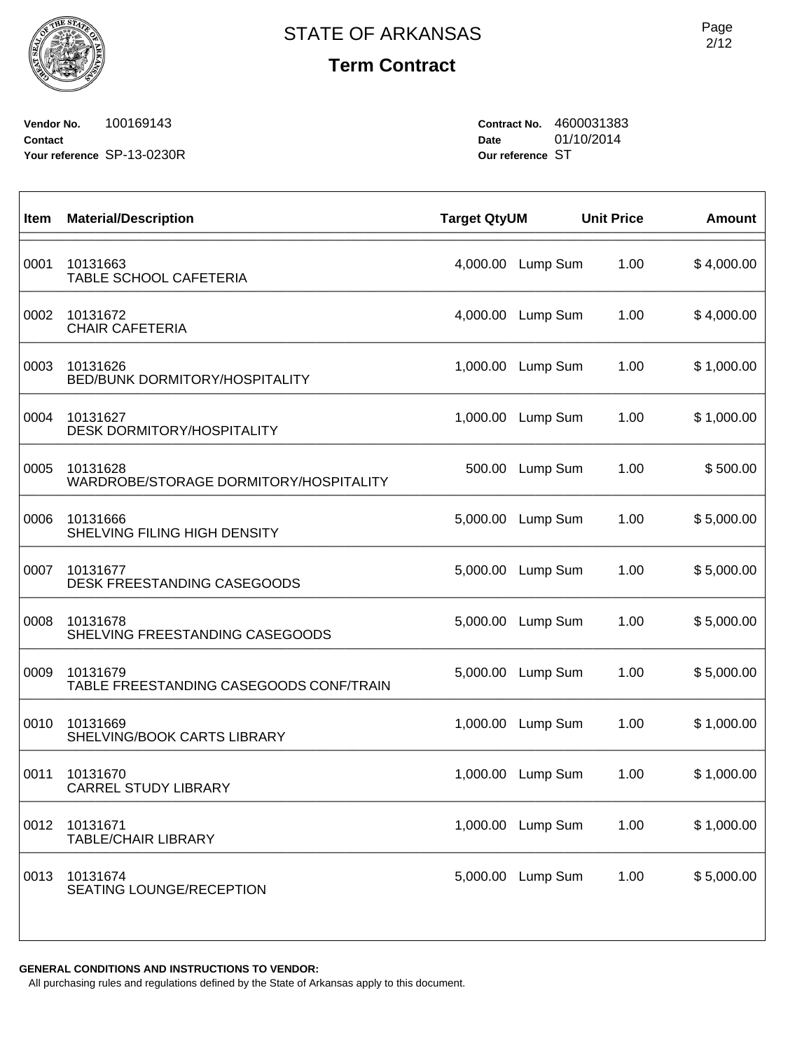**Term Contract**

**Vendor No.** 100169143 **Contact Your reference** SP-13-0230R **Contract No.** 4600031383 **Date** 01/10/2014 **Our reference** ST

| Item | <b>Material/Description</b>                         | <b>Target QtyUM</b> |                   | <b>Unit Price</b> | <b>Amount</b> |
|------|-----------------------------------------------------|---------------------|-------------------|-------------------|---------------|
| 0001 | 10131663<br>TABLE SCHOOL CAFETERIA                  | 4,000.00            | Lump Sum          | 1.00              | \$4,000.00    |
| 0002 | 10131672<br><b>CHAIR CAFETERIA</b>                  | 4,000.00            | Lump Sum          | 1.00              | \$4,000.00    |
| 0003 | 10131626<br>BED/BUNK DORMITORY/HOSPITALITY          | 1,000.00            | Lump Sum          | 1.00              | \$1,000.00    |
| 0004 | 10131627<br><b>DESK DORMITORY/HOSPITALITY</b>       | 1,000.00            | Lump Sum          | 1.00              | \$1,000.00    |
| 0005 | 10131628<br>WARDROBE/STORAGE DORMITORY/HOSPITALITY  | 500.00              | Lump Sum          | 1.00              | \$500.00      |
| 0006 | 10131666<br>SHELVING FILING HIGH DENSITY            | 5,000.00            | Lump Sum          | 1.00              | \$5,000.00    |
| 0007 | 10131677<br><b>DESK FREESTANDING CASEGOODS</b>      | 5,000.00            | Lump Sum          | 1.00              | \$5,000.00    |
| 0008 | 10131678<br>SHELVING FREESTANDING CASEGOODS         | 5,000.00            | Lump Sum          | 1.00              | \$5,000.00    |
| 0009 | 10131679<br>TABLE FREESTANDING CASEGOODS CONF/TRAIN | 5,000.00            | Lump Sum          | 1.00              | \$5,000.00    |
| 0010 | 10131669<br>SHELVING/BOOK CARTS LIBRARY             | 1,000.00            | Lump Sum          | 1.00              | \$1,000.00    |
| 0011 | 10131670<br><b>CARREL STUDY LIBRARY</b>             | 1,000.00            | Lump Sum          | 1.00              | \$1,000.00    |
| 0012 | 10131671<br><b>TABLE/CHAIR LIBRARY</b>              |                     | 1,000.00 Lump Sum | 1.00              | \$1,000.00    |
| 0013 | 10131674<br>SEATING LOUNGE/RECEPTION                |                     | 5,000.00 Lump Sum | 1.00              | \$5,000.00    |
|      |                                                     |                     |                   |                   |               |

**GENERAL CONDITIONS AND INSTRUCTIONS TO VENDOR:**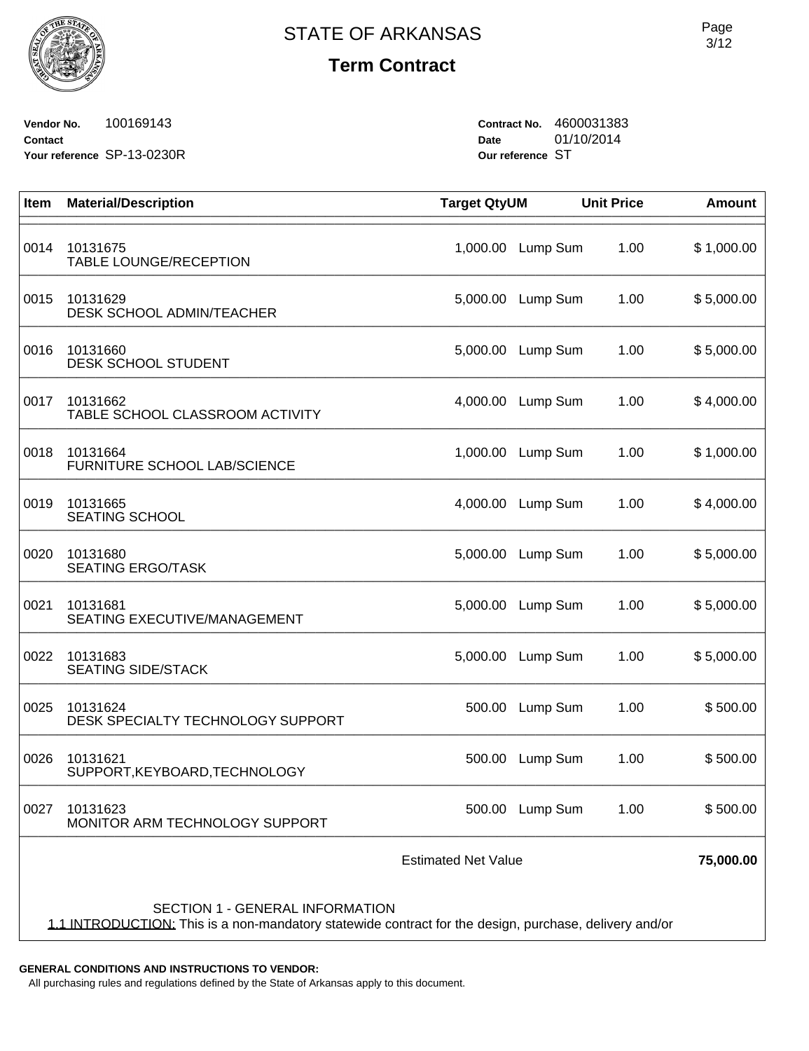

# **Term Contract**

**Vendor No.** 100169143 **Contact Your reference** SP-13-0230R **Contract No.** 4600031383 **Date** 01/10/2014 **Our reference** ST

| Item                                                                                                                                      | <b>Material/Description</b>                   | <b>Target QtyUM</b> |                 | <b>Unit Price</b> | <b>Amount</b> |  |  |
|-------------------------------------------------------------------------------------------------------------------------------------------|-----------------------------------------------|---------------------|-----------------|-------------------|---------------|--|--|
| 0014                                                                                                                                      | 10131675<br><b>TABLE LOUNGE/RECEPTION</b>     | 1,000.00            | Lump Sum        | 1.00              | \$1,000.00    |  |  |
| 0015                                                                                                                                      | 10131629<br>DESK SCHOOL ADMIN/TEACHER         | 5,000.00            | Lump Sum        | 1.00              | \$5,000.00    |  |  |
| 0016                                                                                                                                      | 10131660<br>DESK SCHOOL STUDENT               | 5,000.00            | Lump Sum        | 1.00              | \$5,000.00    |  |  |
| 0017                                                                                                                                      | 10131662<br>TABLE SCHOOL CLASSROOM ACTIVITY   | 4,000.00            | Lump Sum        | 1.00              | \$4,000.00    |  |  |
| 0018                                                                                                                                      | 10131664<br>FURNITURE SCHOOL LAB/SCIENCE      | 1,000.00            | Lump Sum        | 1.00              | \$1,000.00    |  |  |
| 0019                                                                                                                                      | 10131665<br><b>SEATING SCHOOL</b>             | 4,000.00            | Lump Sum        | 1.00              | \$4,000.00    |  |  |
| 0020                                                                                                                                      | 10131680<br><b>SEATING ERGO/TASK</b>          | 5,000.00            | Lump Sum        | 1.00              | \$5,000.00    |  |  |
| 0021                                                                                                                                      | 10131681<br>SEATING EXECUTIVE/MANAGEMENT      | 5,000.00            | Lump Sum        | 1.00              | \$5,000.00    |  |  |
| 0022                                                                                                                                      | 10131683<br><b>SEATING SIDE/STACK</b>         | 5,000.00            | Lump Sum        | 1.00              | \$5,000.00    |  |  |
| 0025                                                                                                                                      | 10131624<br>DESK SPECIALTY TECHNOLOGY SUPPORT | 500.00              | Lump Sum        | 1.00              | \$500.00      |  |  |
| 0026                                                                                                                                      | 10131621<br>SUPPORT, KEYBOARD, TECHNOLOGY     | 500.00              | Lump Sum        | 1.00              | \$500.00      |  |  |
| 0027                                                                                                                                      | 10131623<br>MONITOR ARM TECHNOLOGY SUPPORT    |                     | 500.00 Lump Sum | 1.00              | \$500.00      |  |  |
| <b>Estimated Net Value</b>                                                                                                                |                                               |                     |                 |                   |               |  |  |
|                                                                                                                                           |                                               |                     |                 |                   |               |  |  |
| SECTION 1 - GENERAL INFORMATION<br>1.1 INTRODUCTION: This is a non-mandatory statewide contract for the design, purchase, delivery and/or |                                               |                     |                 |                   |               |  |  |

**GENERAL CONDITIONS AND INSTRUCTIONS TO VENDOR:**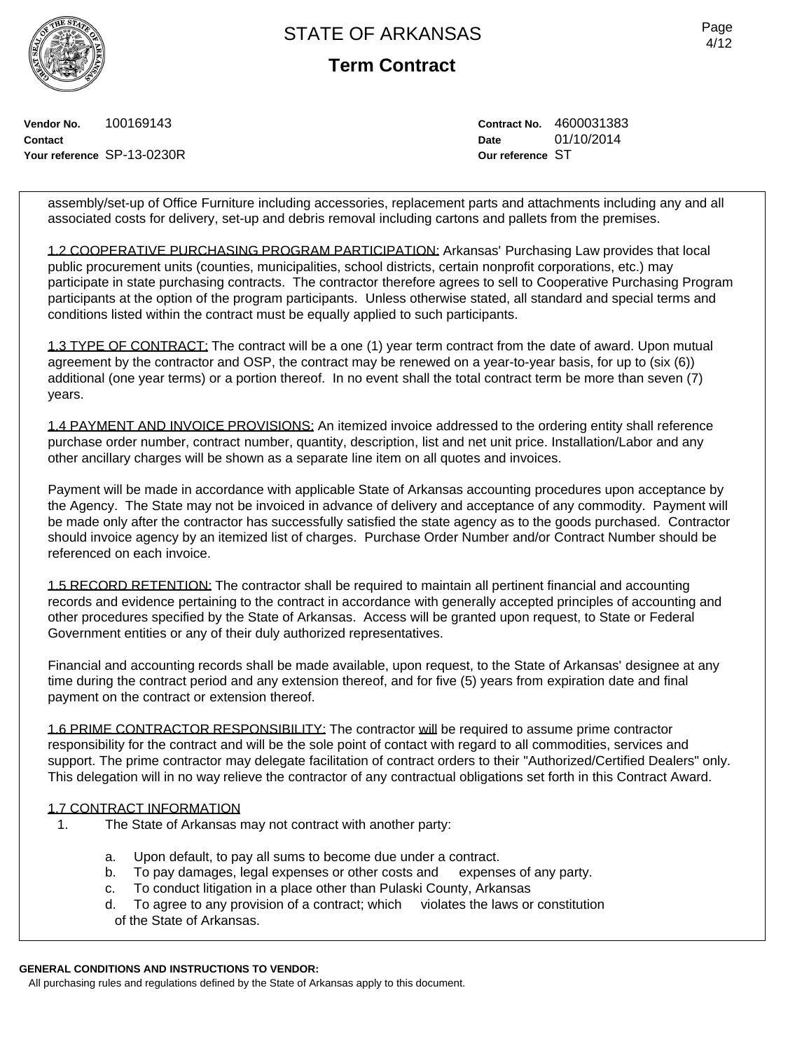**Term Contract**

**Vendor No.** 100169143 **Contact Your reference** SP-13-0230R **Contract No.** 4600031383 **Date** 01/10/2014 **Our reference** ST

assembly/set-up of Office Furniture including accessories, replacement parts and attachments including any and all associated costs for delivery, set-up and debris removal including cartons and pallets from the premises.

1.2 COOPERATIVE PURCHASING PROGRAM PARTICIPATION: Arkansas' Purchasing Law provides that local public procurement units (counties, municipalities, school districts, certain nonprofit corporations, etc.) may participate in state purchasing contracts. The contractor therefore agrees to sell to Cooperative Purchasing Program participants at the option of the program participants. Unless otherwise stated, all standard and special terms and conditions listed within the contract must be equally applied to such participants.

1.3 TYPE OF CONTRACT: The contract will be a one (1) year term contract from the date of award. Upon mutual agreement by the contractor and OSP, the contract may be renewed on a year-to-year basis, for up to (six (6)) additional (one year terms) or a portion thereof. In no event shall the total contract term be more than seven (7) years.

1.4 PAYMENT AND INVOICE PROVISIONS: An itemized invoice addressed to the ordering entity shall reference purchase order number, contract number, quantity, description, list and net unit price. Installation/Labor and any other ancillary charges will be shown as a separate line item on all quotes and invoices.

Payment will be made in accordance with applicable State of Arkansas accounting procedures upon acceptance by the Agency. The State may not be invoiced in advance of delivery and acceptance of any commodity. Payment will be made only after the contractor has successfully satisfied the state agency as to the goods purchased. Contractor should invoice agency by an itemized list of charges. Purchase Order Number and/or Contract Number should be referenced on each invoice.

1.5 RECORD RETENTION: The contractor shall be required to maintain all pertinent financial and accounting records and evidence pertaining to the contract in accordance with generally accepted principles of accounting and other procedures specified by the State of Arkansas. Access will be granted upon request, to State or Federal Government entities or any of their duly authorized representatives.

Financial and accounting records shall be made available, upon request, to the State of Arkansas' designee at any time during the contract period and any extension thereof, and for five (5) years from expiration date and final payment on the contract or extension thereof.

1.6 PRIME CONTRACTOR RESPONSIBILITY: The contractor will be required to assume prime contractor responsibility for the contract and will be the sole point of contact with regard to all commodities, services and support. The prime contractor may delegate facilitation of contract orders to their "Authorized/Certified Dealers" only. This delegation will in no way relieve the contractor of any contractual obligations set forth in this Contract Award.

### 1.7 CONTRACT INFORMATION

- 1. The State of Arkansas may not contract with another party:
	- a. Upon default, to pay all sums to become due under a contract.
	- b. To pay damages, legal expenses or other costs and expenses of any party.
	- c. To conduct litigation in a place other than Pulaski County, Arkansas
	- d. To agree to any provision of a contract; which violates the laws or constitution of the State of Arkansas.

#### **GENERAL CONDITIONS AND INSTRUCTIONS TO VENDOR:**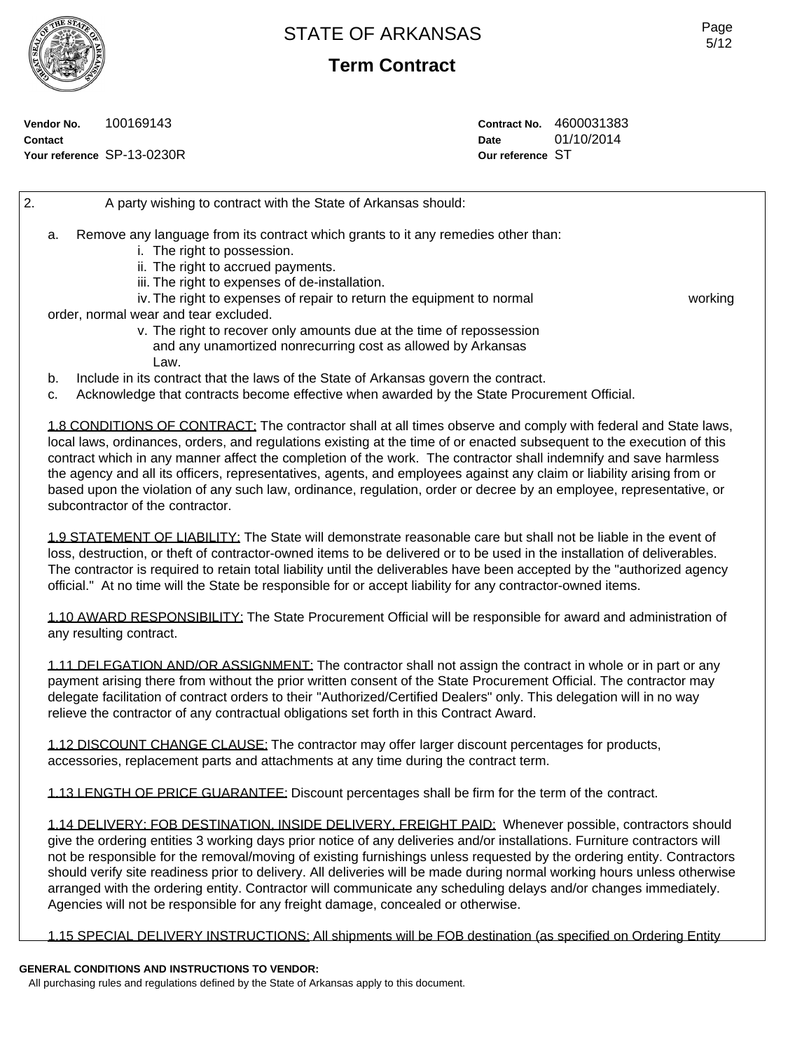**Term Contract**

**Vendor No.** 100169143 **Contact Your reference** SP-13-0230R **Contract No.** 4600031383 **Date** 01/10/2014 **Our reference** ST

2. A party wishing to contract with the State of Arkansas should: a. Remove any language from its contract which grants to it any remedies other than: i. The right to possession. ii. The right to accrued payments. iii. The right to expenses of de-installation. iv. The right to expenses of repair to return the equipment to normal working order, normal wear and tear excluded. v. The right to recover only amounts due at the time of repossession and any unamortized nonrecurring cost as allowed by Arkansas Law. b. Include in its contract that the laws of the State of Arkansas govern the contract. c. Acknowledge that contracts become effective when awarded by the State Procurement Official.

1.8 CONDITIONS OF CONTRACT: The contractor shall at all times observe and comply with federal and State laws, local laws, ordinances, orders, and regulations existing at the time of or enacted subsequent to the execution of this contract which in any manner affect the completion of the work. The contractor shall indemnify and save harmless the agency and all its officers, representatives, agents, and employees against any claim or liability arising from or based upon the violation of any such law, ordinance, regulation, order or decree by an employee, representative, or subcontractor of the contractor.

1.9 STATEMENT OF LIABILITY: The State will demonstrate reasonable care but shall not be liable in the event of loss, destruction, or theft of contractor-owned items to be delivered or to be used in the installation of deliverables. The contractor is required to retain total liability until the deliverables have been accepted by the "authorized agency official." At no time will the State be responsible for or accept liability for any contractor-owned items.

1.10 AWARD RESPONSIBILITY: The State Procurement Official will be responsible for award and administration of any resulting contract.

1.11 DELEGATION AND/OR ASSIGNMENT: The contractor shall not assign the contract in whole or in part or any payment arising there from without the prior written consent of the State Procurement Official. The contractor may delegate facilitation of contract orders to their "Authorized/Certified Dealers" only. This delegation will in no way relieve the contractor of any contractual obligations set forth in this Contract Award.

1.12 DISCOUNT CHANGE CLAUSE: The contractor may offer larger discount percentages for products, accessories, replacement parts and attachments at any time during the contract term.

1.13 LENGTH OF PRICE GUARANTEE: Discount percentages shall be firm for the term of the contract.

1.14 DELIVERY: FOB DESTINATION, INSIDE DELIVERY, FREIGHT PAID: Whenever possible, contractors should give the ordering entities 3 working days prior notice of any deliveries and/or installations. Furniture contractors will not be responsible for the removal/moving of existing furnishings unless requested by the ordering entity. Contractors should verify site readiness prior to delivery. All deliveries will be made during normal working hours unless otherwise arranged with the ordering entity. Contractor will communicate any scheduling delays and/or changes immediately. Agencies will not be responsible for any freight damage, concealed or otherwise.

1.15 SPECIAL DELIVERY INSTRUCTIONS: All shipments will be FOB destination (as specified on Ordering Entity

### **GENERAL CONDITIONS AND INSTRUCTIONS TO VENDOR:**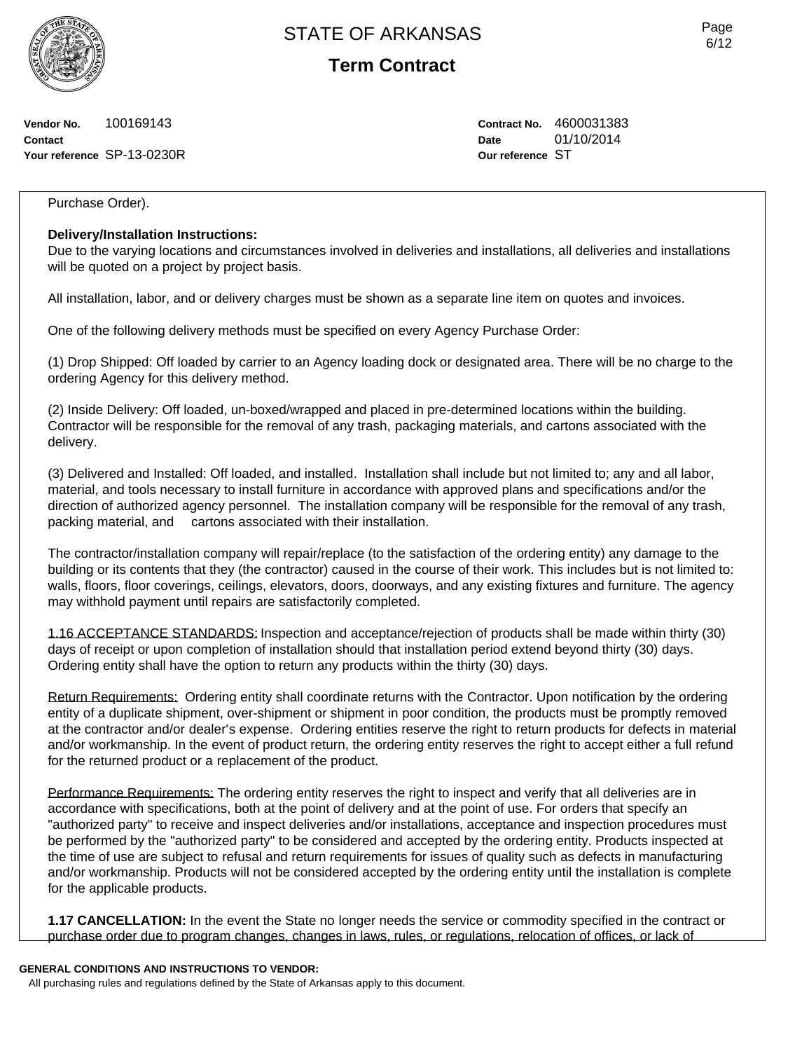**Term Contract**

**Vendor No.** 100169143 **Contact Your reference** SP-13-0230R **Contract No.** 4600031383 **Date** 01/10/2014 **Our reference** ST

### Purchase Order).

### **Delivery/Installation Instructions:**

Due to the varying locations and circumstances involved in deliveries and installations, all deliveries and installations will be quoted on a project by project basis.

All installation, labor, and or delivery charges must be shown as a separate line item on quotes and invoices.

One of the following delivery methods must be specified on every Agency Purchase Order:

(1) Drop Shipped: Off loaded by carrier to an Agency loading dock or designated area. There will be no charge to the ordering Agency for this delivery method.

(2) Inside Delivery: Off loaded, un-boxed/wrapped and placed in pre-determined locations within the building. Contractor will be responsible for the removal of any trash, packaging materials, and cartons associated with the delivery.

(3) Delivered and Installed: Off loaded, and installed. Installation shall include but not limited to; any and all labor, material, and tools necessary to install furniture in accordance with approved plans and specifications and/or the direction of authorized agency personnel. The installation company will be responsible for the removal of any trash, packing material, and cartons associated with their installation.

The contractor/installation company will repair/replace (to the satisfaction of the ordering entity) any damage to the building or its contents that they (the contractor) caused in the course of their work. This includes but is not limited to: walls, floors, floor coverings, ceilings, elevators, doors, doorways, and any existing fixtures and furniture. The agency may withhold payment until repairs are satisfactorily completed.

1.16 ACCEPTANCE STANDARDS: Inspection and acceptance/rejection of products shall be made within thirty (30) days of receipt or upon completion of installation should that installation period extend beyond thirty (30) days. Ordering entity shall have the option to return any products within the thirty (30) days.

Return Requirements: Ordering entity shall coordinate returns with the Contractor. Upon notification by the ordering entity of a duplicate shipment, over-shipment or shipment in poor condition, the products must be promptly removed at the contractor and/or dealer's expense. Ordering entities reserve the right to return products for defects in material and/or workmanship. In the event of product return, the ordering entity reserves the right to accept either a full refund for the returned product or a replacement of the product.

Performance Requirements: The ordering entity reserves the right to inspect and verify that all deliveries are in accordance with specifications, both at the point of delivery and at the point of use. For orders that specify an "authorized party" to receive and inspect deliveries and/or installations, acceptance and inspection procedures must be performed by the "authorized party" to be considered and accepted by the ordering entity. Products inspected at the time of use are subject to refusal and return requirements for issues of quality such as defects in manufacturing and/or workmanship. Products will not be considered accepted by the ordering entity until the installation is complete for the applicable products.

**1.17 CANCELLATION:** In the event the State no longer needs the service or commodity specified in the contract or purchase order due to program changes, changes in laws, rules, or regulations, relocation of offices, or lack of

#### **GENERAL CONDITIONS AND INSTRUCTIONS TO VENDOR:**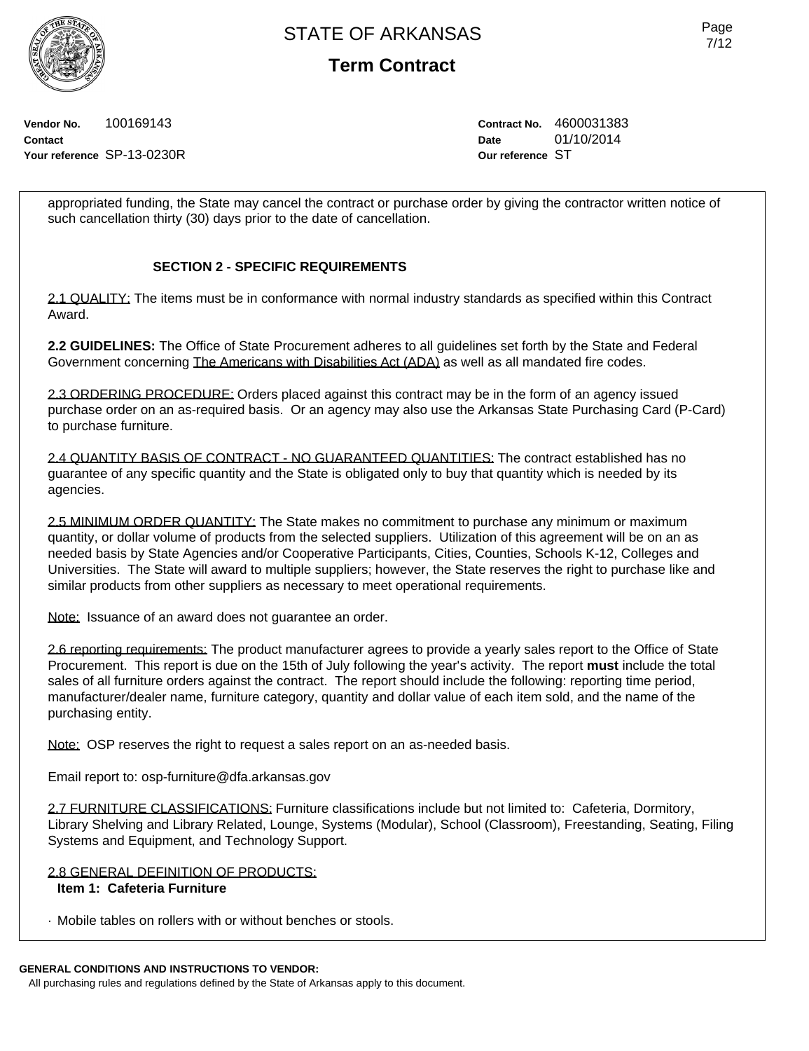**Term Contract**

**Vendor No.** 100169143 **Contact Your reference** SP-13-0230R **Contract No.** 4600031383 **Date** 01/10/2014 **Our reference** ST

appropriated funding, the State may cancel the contract or purchase order by giving the contractor written notice of such cancellation thirty (30) days prior to the date of cancellation.

## **SECTION 2 - SPECIFIC REQUIREMENTS**

2.1 QUALITY: The items must be in conformance with normal industry standards as specified within this Contract Award.

**2.2 GUIDELINES:** The Office of State Procurement adheres to all guidelines set forth by the State and Federal Government concerning The Americans with Disabilities Act (ADA) as well as all mandated fire codes.

2.3 ORDERING PROCEDURE: Orders placed against this contract may be in the form of an agency issued purchase order on an as-required basis. Or an agency may also use the Arkansas State Purchasing Card (P-Card) to purchase furniture.

2.4 QUANTITY BASIS OF CONTRACT - NO GUARANTEED QUANTITIES: The contract established has no guarantee of any specific quantity and the State is obligated only to buy that quantity which is needed by its agencies.

2.5 MINIMUM ORDER QUANTITY: The State makes no commitment to purchase any minimum or maximum quantity, or dollar volume of products from the selected suppliers. Utilization of this agreement will be on an as needed basis by State Agencies and/or Cooperative Participants, Cities, Counties, Schools K-12, Colleges and Universities. The State will award to multiple suppliers; however, the State reserves the right to purchase like and similar products from other suppliers as necessary to meet operational requirements.

Note: Issuance of an award does not guarantee an order.

2.6 reporting requirements: The product manufacturer agrees to provide a yearly sales report to the Office of State Procurement. This report is due on the 15th of July following the year's activity. The report **must** include the total sales of all furniture orders against the contract. The report should include the following: reporting time period, manufacturer/dealer name, furniture category, quantity and dollar value of each item sold, and the name of the purchasing entity.

Note: OSP reserves the right to request a sales report on an as-needed basis.

Email report to: osp-furniture@dfa.arkansas.gov

2.7 FURNITURE CLASSIFICATIONS: Furniture classifications include but not limited to: Cafeteria, Dormitory, Library Shelving and Library Related, Lounge, Systems (Modular), School (Classroom), Freestanding, Seating, Filing Systems and Equipment, and Technology Support.

### 2.8 GENERAL DEFINITION OF PRODUCTS:

## **Item 1: Cafeteria Furniture**

· Mobile tables on rollers with or without benches or stools.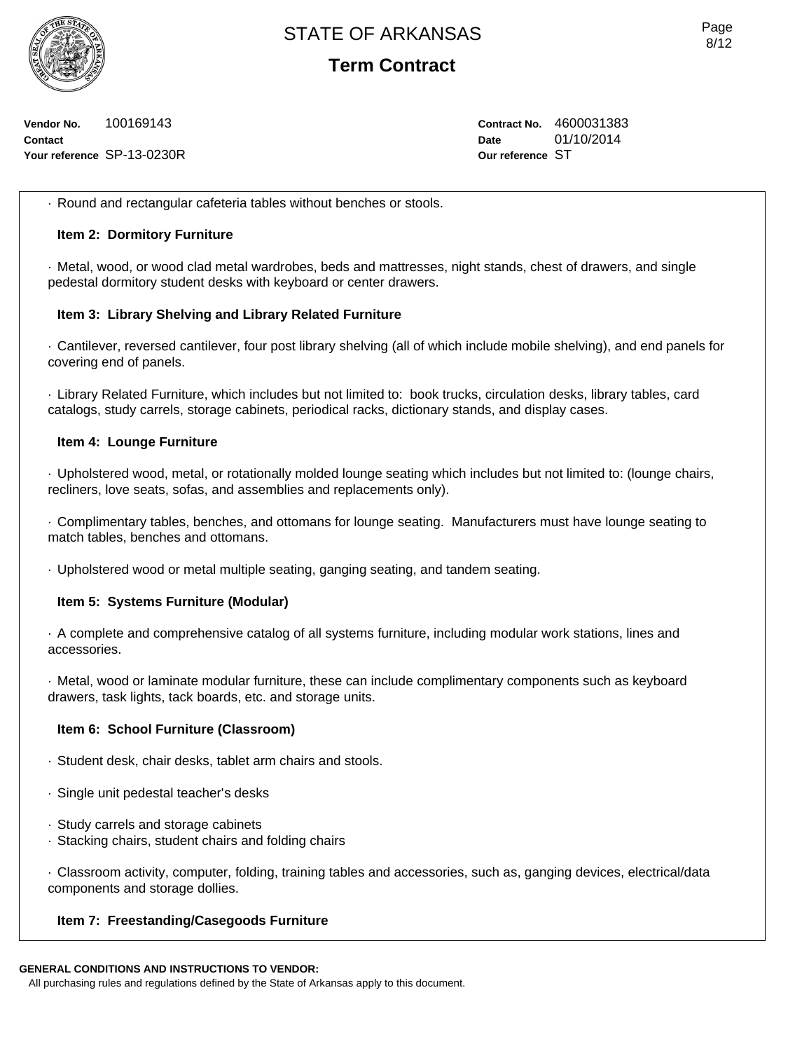

**Term Contract**

**Vendor No.** 100169143 **Contact Your reference** SP-13-0230R **Contract No.** 4600031383 **Date** 01/10/2014 **Our reference** ST

· Round and rectangular cafeteria tables without benches or stools.

### **Item 2: Dormitory Furniture**

· Metal, wood, or wood clad metal wardrobes, beds and mattresses, night stands, chest of drawers, and single pedestal dormitory student desks with keyboard or center drawers.

#### **Item 3: Library Shelving and Library Related Furniture**

· Cantilever, reversed cantilever, four post library shelving (all of which include mobile shelving), and end panels for covering end of panels.

· Library Related Furniture, which includes but not limited to: book trucks, circulation desks, library tables, card catalogs, study carrels, storage cabinets, periodical racks, dictionary stands, and display cases.

#### **Item 4: Lounge Furniture**

· Upholstered wood, metal, or rotationally molded lounge seating which includes but not limited to: (lounge chairs, recliners, love seats, sofas, and assemblies and replacements only).

· Complimentary tables, benches, and ottomans for lounge seating. Manufacturers must have lounge seating to match tables, benches and ottomans.

· Upholstered wood or metal multiple seating, ganging seating, and tandem seating.

#### **Item 5: Systems Furniture (Modular)**

· A complete and comprehensive catalog of all systems furniture, including modular work stations, lines and accessories.

· Metal, wood or laminate modular furniture, these can include complimentary components such as keyboard drawers, task lights, tack boards, etc. and storage units.

#### **Item 6: School Furniture (Classroom)**

- · Student desk, chair desks, tablet arm chairs and stools.
- · Single unit pedestal teacher's desks
- · Study carrels and storage cabinets
- · Stacking chairs, student chairs and folding chairs

· Classroom activity, computer, folding, training tables and accessories, such as, ganging devices, electrical/data components and storage dollies.

### **Item 7: Freestanding/Casegoods Furniture**

#### **GENERAL CONDITIONS AND INSTRUCTIONS TO VENDOR:**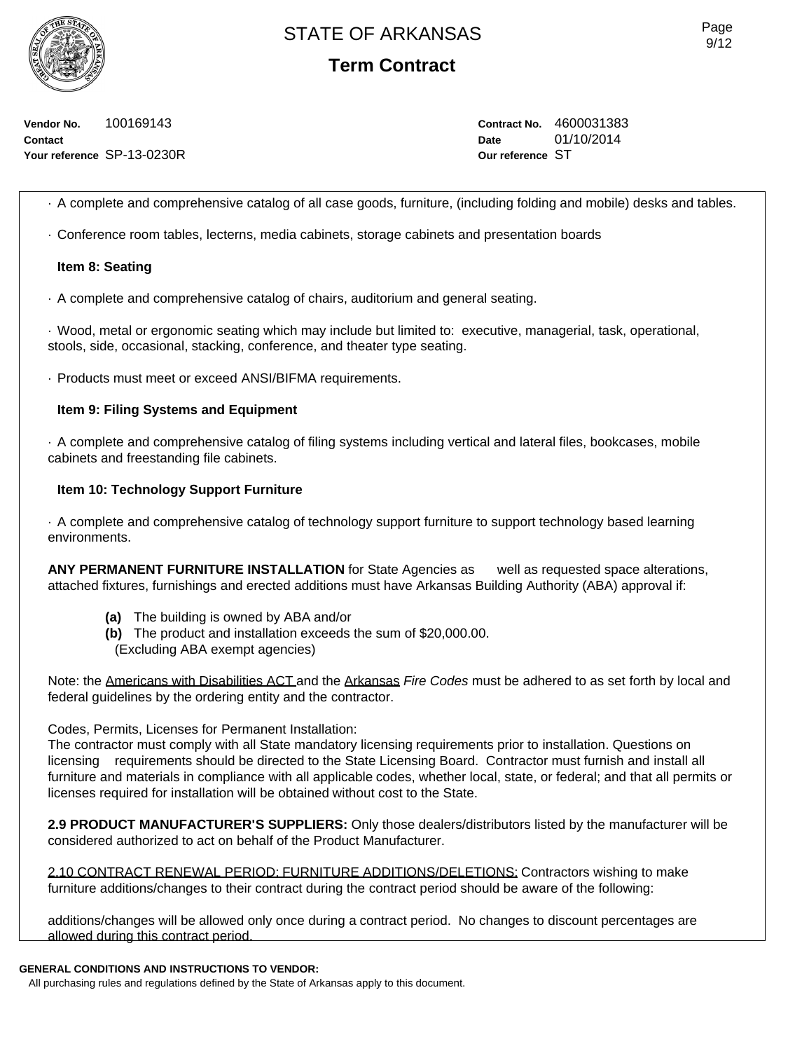**Term Contract**

**Vendor No.** 100169143 **Contact Your reference** SP-13-0230R **Contract No.** 4600031383 **Date** 01/10/2014 **Our reference** ST

· A complete and comprehensive catalog of all case goods, furniture, (including folding and mobile) desks and tables.

· Conference room tables, lecterns, media cabinets, storage cabinets and presentation boards

### **Item 8: Seating**

· A complete and comprehensive catalog of chairs, auditorium and general seating.

· Wood, metal or ergonomic seating which may include but limited to: executive, managerial, task, operational, stools, side, occasional, stacking, conference, and theater type seating.

· Products must meet or exceed ANSI/BIFMA requirements.

#### **Item 9: Filing Systems and Equipment**

· A complete and comprehensive catalog of filing systems including vertical and lateral files, bookcases, mobile cabinets and freestanding file cabinets.

#### **Item 10: Technology Support Furniture**

· A complete and comprehensive catalog of technology support furniture to support technology based learning environments.

**ANY PERMANENT FURNITURE INSTALLATION** for State Agencies as well as requested space alterations, attached fixtures, furnishings and erected additions must have Arkansas Building Authority (ABA) approval if:

- **(a)** The building is owned by ABA and/or
- **(b)** The product and installation exceeds the sum of \$20,000.00.
- (Excluding ABA exempt agencies)

Note: the Americans with Disabilities ACT and the Arkansas *Fire Codes* must be adhered to as set forth by local and federal guidelines by the ordering entity and the contractor.

### Codes, Permits, Licenses for Permanent Installation:

The contractor must comply with all State mandatory licensing requirements prior to installation. Questions on licensing requirements should be directed to the State Licensing Board. Contractor must furnish and install all furniture and materials in compliance with all applicable codes, whether local, state, or federal; and that all permits or licenses required for installation will be obtained without cost to the State.

**2.9 PRODUCT MANUFACTURER'S SUPPLIERS:** Only those dealers/distributors listed by the manufacturer will be considered authorized to act on behalf of the Product Manufacturer.

2.10 CONTRACT RENEWAL PERIOD: FURNITURE ADDITIONS/DELETIONS: Contractors wishing to make furniture additions/changes to their contract during the contract period should be aware of the following:

additions/changes will be allowed only once during a contract period. No changes to discount percentages are allowed during this contract period.

## **GENERAL CONDITIONS AND INSTRUCTIONS TO VENDOR:**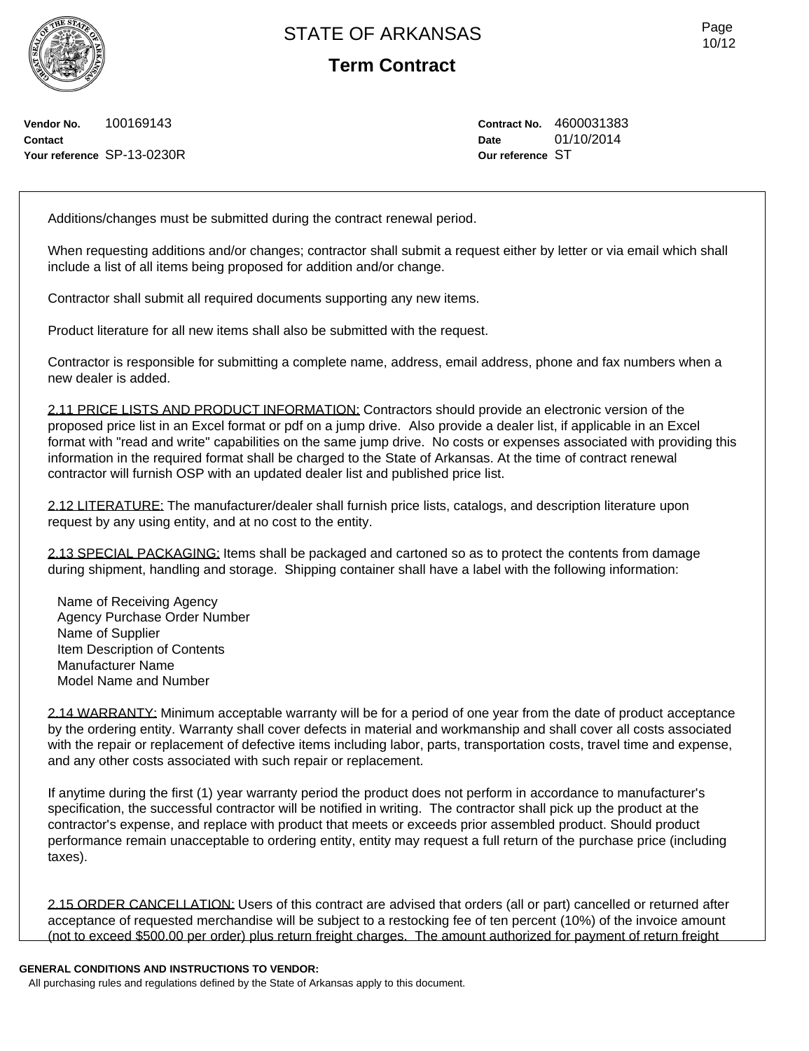**Term Contract**

**Vendor No.** 100169143 **Contact Your reference** SP-13-0230R **Contract No.** 4600031383 **Date** 01/10/2014 **Our reference** ST

Additions/changes must be submitted during the contract renewal period.

When requesting additions and/or changes; contractor shall submit a request either by letter or via email which shall include a list of all items being proposed for addition and/or change.

Contractor shall submit all required documents supporting any new items.

Product literature for all new items shall also be submitted with the request.

Contractor is responsible for submitting a complete name, address, email address, phone and fax numbers when a new dealer is added.

2.11 PRICE LISTS AND PRODUCT INFORMATION: Contractors should provide an electronic version of the proposed price list in an Excel format or pdf on a jump drive. Also provide a dealer list, if applicable in an Excel format with "read and write" capabilities on the same jump drive. No costs or expenses associated with providing this information in the required format shall be charged to the State of Arkansas. At the time of contract renewal contractor will furnish OSP with an updated dealer list and published price list.

2.12 LITERATURE: The manufacturer/dealer shall furnish price lists, catalogs, and description literature upon request by any using entity, and at no cost to the entity.

2.13 SPECIAL PACKAGING: Items shall be packaged and cartoned so as to protect the contents from damage during shipment, handling and storage. Shipping container shall have a label with the following information:

Name of Receiving Agency Agency Purchase Order Number Name of Supplier Item Description of Contents Manufacturer Name Model Name and Number

2.14 WARRANTY: Minimum acceptable warranty will be for a period of one year from the date of product acceptance by the ordering entity. Warranty shall cover defects in material and workmanship and shall cover all costs associated with the repair or replacement of defective items including labor, parts, transportation costs, travel time and expense, and any other costs associated with such repair or replacement.

If anytime during the first (1) year warranty period the product does not perform in accordance to manufacturer's specification, the successful contractor will be notified in writing. The contractor shall pick up the product at the contractor's expense, and replace with product that meets or exceeds prior assembled product. Should product performance remain unacceptable to ordering entity, entity may request a full return of the purchase price (including taxes).

2.15 ORDER CANCELLATION: Users of this contract are advised that orders (all or part) cancelled or returned after acceptance of requested merchandise will be subject to a restocking fee of ten percent (10%) of the invoice amount (not to exceed \$500.00 per order) plus return freight charges. The amount authorized for payment of return freight

#### **GENERAL CONDITIONS AND INSTRUCTIONS TO VENDOR:**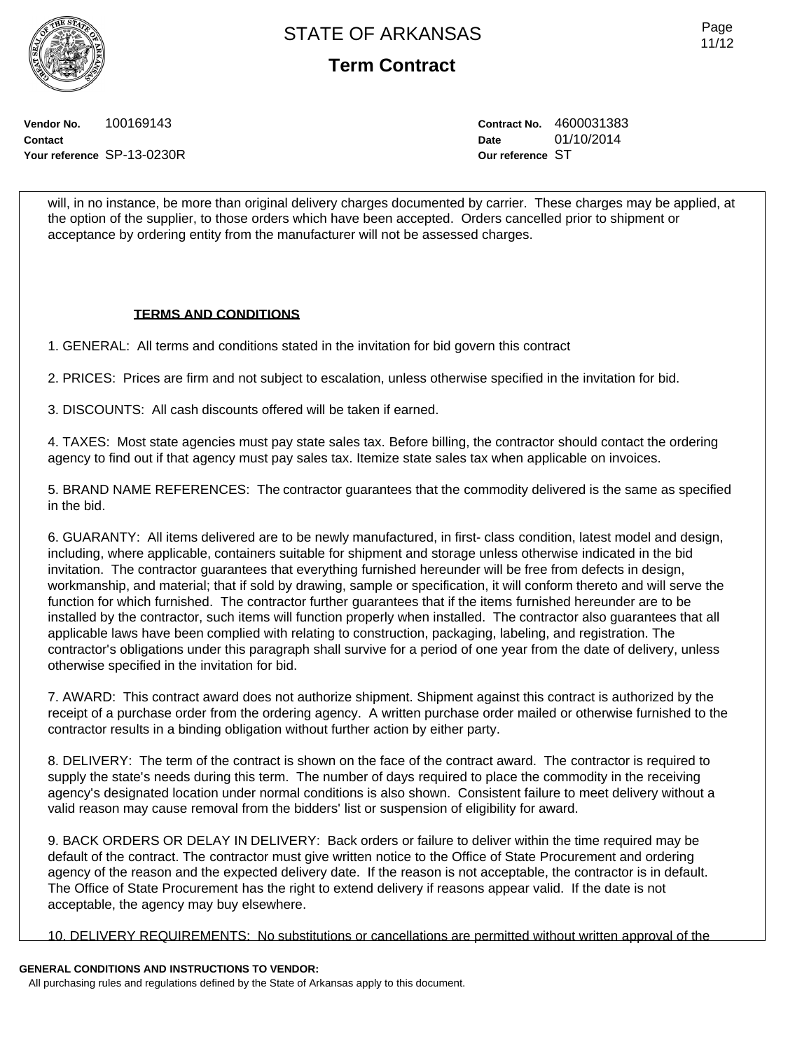**Term Contract**

Page 11/12

**Vendor No.** 100169143 **Contact Your reference** SP-13-0230R **Contract No.** 4600031383 **Date** 01/10/2014 **Our reference** ST

will, in no instance, be more than original delivery charges documented by carrier. These charges may be applied, at the option of the supplier, to those orders which have been accepted. Orders cancelled prior to shipment or acceptance by ordering entity from the manufacturer will not be assessed charges.

### **TERMS AND CONDITIONS**

1. GENERAL: All terms and conditions stated in the invitation for bid govern this contract

2. PRICES: Prices are firm and not subject to escalation, unless otherwise specified in the invitation for bid.

3. DISCOUNTS: All cash discounts offered will be taken if earned.

4. TAXES: Most state agencies must pay state sales tax. Before billing, the contractor should contact the ordering agency to find out if that agency must pay sales tax. Itemize state sales tax when applicable on invoices.

5. BRAND NAME REFERENCES: The contractor guarantees that the commodity delivered is the same as specified in the bid.

6. GUARANTY: All items delivered are to be newly manufactured, in first- class condition, latest model and design, including, where applicable, containers suitable for shipment and storage unless otherwise indicated in the bid invitation. The contractor guarantees that everything furnished hereunder will be free from defects in design, workmanship, and material; that if sold by drawing, sample or specification, it will conform thereto and will serve the function for which furnished. The contractor further guarantees that if the items furnished hereunder are to be installed by the contractor, such items will function properly when installed. The contractor also guarantees that all applicable laws have been complied with relating to construction, packaging, labeling, and registration. The contractor's obligations under this paragraph shall survive for a period of one year from the date of delivery, unless otherwise specified in the invitation for bid.

7. AWARD: This contract award does not authorize shipment. Shipment against this contract is authorized by the receipt of a purchase order from the ordering agency. A written purchase order mailed or otherwise furnished to the contractor results in a binding obligation without further action by either party.

8. DELIVERY: The term of the contract is shown on the face of the contract award. The contractor is required to supply the state's needs during this term. The number of days required to place the commodity in the receiving agency's designated location under normal conditions is also shown. Consistent failure to meet delivery without a valid reason may cause removal from the bidders' list or suspension of eligibility for award.

9. BACK ORDERS OR DELAY IN DELIVERY: Back orders or failure to deliver within the time required may be default of the contract. The contractor must give written notice to the Office of State Procurement and ordering agency of the reason and the expected delivery date. If the reason is not acceptable, the contractor is in default. The Office of State Procurement has the right to extend delivery if reasons appear valid. If the date is not acceptable, the agency may buy elsewhere.

10. DELIVERY REQUIREMENTS: No substitutions or cancellations are permitted without written approval of the

## **GENERAL CONDITIONS AND INSTRUCTIONS TO VENDOR:**